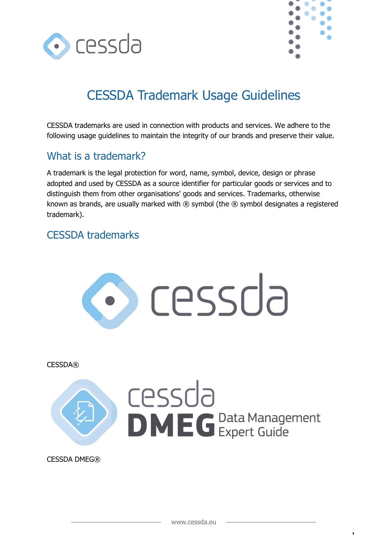



1

# CESSDA Trademark Usage Guidelines

CESSDA trademarks are used in connection with products and services. We adhere to the following usage guidelines to maintain the integrity of our brands and preserve their value.

# What is a trademark?

A trademark is the legal protection for word, name, symbol, device, design or phrase adopted and used by CESSDA as a source identifier for particular goods or services and to distinguish them from other organisations' goods and services. Trademarks, otherwise known as brands, are usually marked with ® symbol (the ® symbol designates a registered trademark).

### CESSDA trademarks

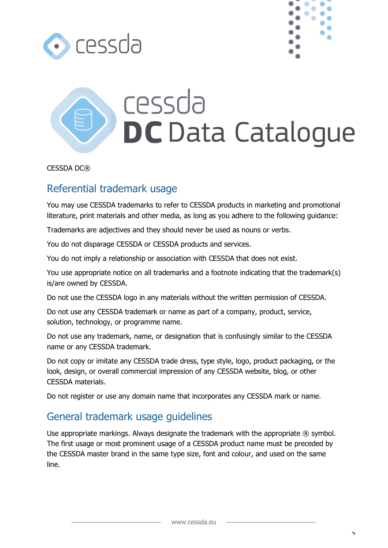



# cessda **DC** Data Catalogue

CESSDA DC®

## Referential trademark usage

You may use CESSDA trademarks to refer to CESSDA products in marketing and promotional literature, print materials and other media, as long as you adhere to the following guidance:

Trademarks are adjectives and they should never be used as nouns or verbs.

You do not disparage CESSDA or CESSDA products and services.

You do not imply a relationship or association with CESSDA that does not exist.

You use appropriate notice on all trademarks and a footnote indicating that the trademark(s) is/are owned by CESSDA.

Do not use the CESSDA logo in any materials without the written permission of CESSDA.

Do not use any CESSDA trademark or name as part of a company, product, service, solution, technology, or programme name.

Do not use any trademark, name, or designation that is confusingly similar to the CESSDA name or any CESSDA trademark.

Do not copy or imitate any CESSDA trade dress, type style, logo, product packaging, or the look, design, or overall commercial impression of any CESSDA website, blog, or other CESSDA materials.

Do not register or use any domain name that incorporates any CESSDA mark or name.

# General trademark usage guidelines

Use appropriate markings. Always designate the trademark with the appropriate ® symbol. The first usage or most prominent usage of a CESSDA product name must be preceded by the CESSDA master brand in the same type size, font and colour, and used on the same line.